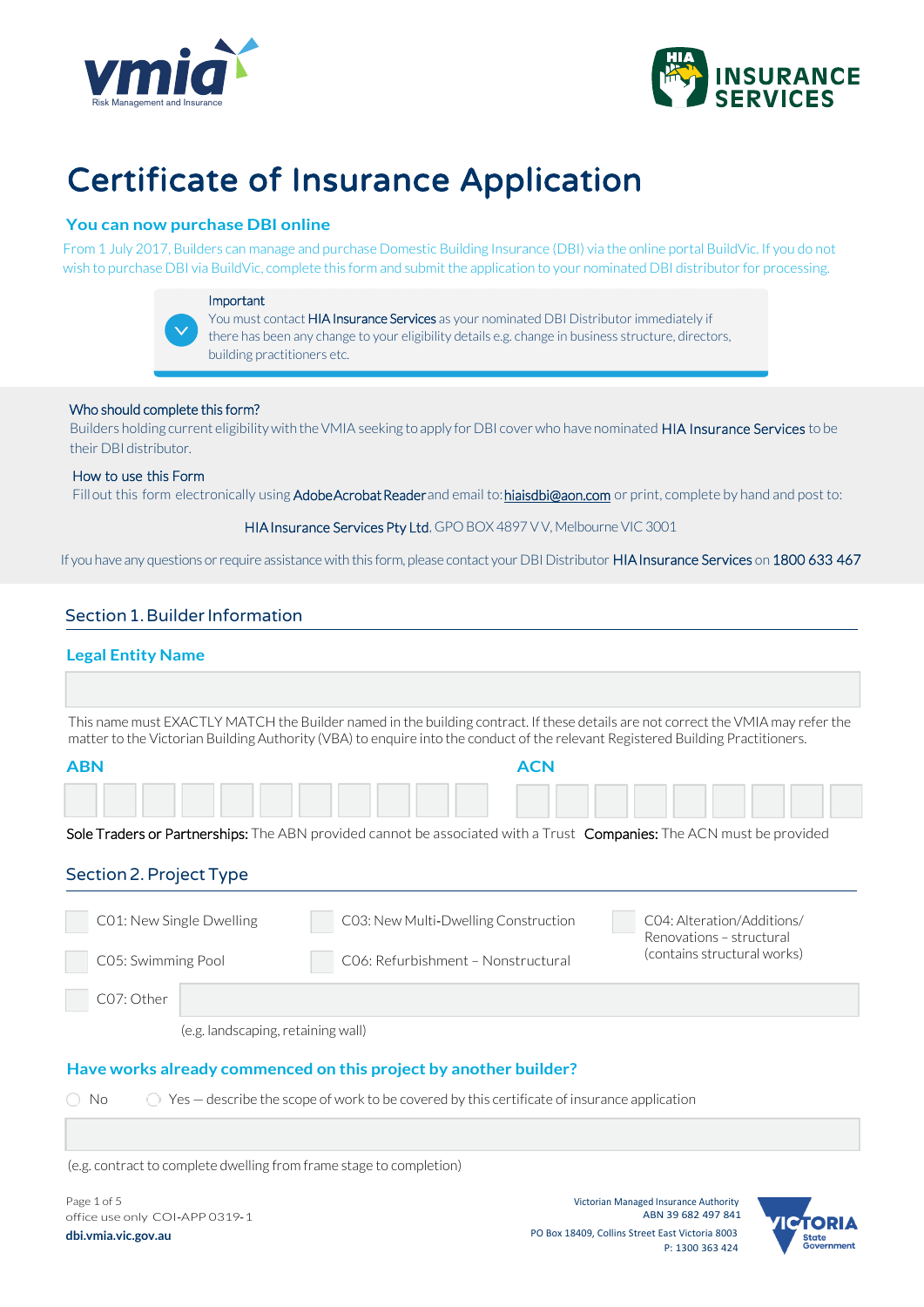



# Certificate of Insurance Application

# **You can now purchase DBI online**

From 1 July 2017, Builders can manage and purchase Domestic Building Insurance (DBI) via the online portal BuildVic. If you do not wish to purchase DBI via BuildVic, complete this form and submit the application to your nominated DBI distributor for processing.

#### Important



You must contact **HIA Insurance Services** as your nominated DBI Distributor immediately if there has been any change to your eligibility details e.g. change in business structure, directors, building practitioners etc.

#### Who should complete this form?

Builders holding current eligibility with the VMIA seeking to apply for DBI cover who have nominated HIA Insurance Services to be their DBI distributor.

#### How to use this Form

Fill out this form electronically using Adobe Acrobat Readerand email to: hiaisdbi@aon.com or print, complete by hand and post to:

#### HIA Insurance Services Pty Ltd, GPO BOX 4897 VV, Melbourne VIC 3001

If you have any questions or require assistance with this form, please contact your DBI Distributor HIA Insurance Services on 1800 633 467

# Section 1. Builder Information

## **Legal Entity Name**

This name must EXACTLY MATCH the Builder named in the building contract. If these details are not correct the VMIA may refer the matter to the Victorian Building Authority (VBA) to enquire into the conduct of the relevant Registered Building Practitioners.

| <b>ABN</b>                                                                                         | <b>ACN</b>                                                                                                           |                                                        |
|----------------------------------------------------------------------------------------------------|----------------------------------------------------------------------------------------------------------------------|--------------------------------------------------------|
|                                                                                                    |                                                                                                                      |                                                        |
|                                                                                                    | Sole Traders or Partnerships: The ABN provided cannot be associated with a Trust Companies: The ACN must be provided |                                                        |
| Section 2. Project Type                                                                            |                                                                                                                      |                                                        |
| C01: New Single Dwelling                                                                           | C03: New Multi-Dwelling Construction                                                                                 | CO4: Alteration/Additions/<br>Renovations - structural |
| C05: Swimming Pool                                                                                 | CO6: Refurbishment - Nonstructural                                                                                   | (contains structural works)                            |
| C07: Other                                                                                         |                                                                                                                      |                                                        |
| (e.g. landscaping, retaining wall)                                                                 |                                                                                                                      |                                                        |
|                                                                                                    | Have works already commenced on this project by another builder?                                                     |                                                        |
| Yes – describe the scope of work to be covered by this certificate of insurance application<br>No. |                                                                                                                      |                                                        |

(e.g. contract to complete dwelling from frame stage to completion)

Page 1 of 5 office use only COI‐APP 0319‐1 **dbi.vmia.vic.gov.au**

Victorian Managed Insurance Authority ABN 39 682 497 841 PO Box 18409, Collins Street East Victoria 8003 P: 1300 363 424

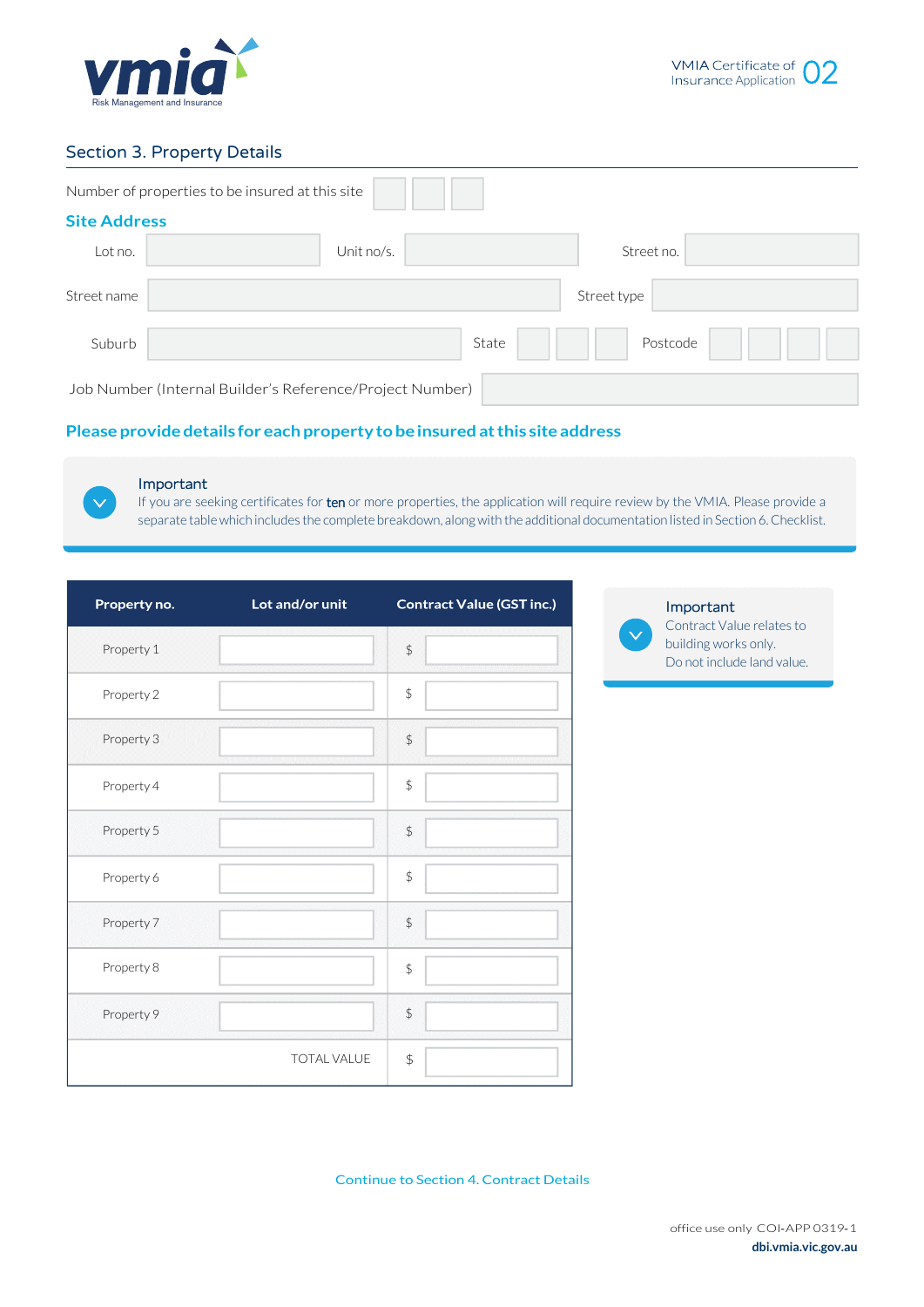

# Section 3. Property Details

|                     | Number of properties to be insured at this site          |
|---------------------|----------------------------------------------------------|
| <b>Site Address</b> |                                                          |
| Lot no.             | Street no.<br>Unit no/s.                                 |
| Street name         | Street type                                              |
| Suburb              | State<br>Postcode                                        |
|                     | Job Number (Internal Builder's Reference/Project Number) |

# **Please providedetails for each propertytobeinsuredatthis site address**



## Important

If you are seeking certificates for ten or more properties, the application will require review by the VMIA. Please provide a separate table which includes the complete breakdown, along with the additional documentation listed in Section 6. Checklist.

| Property no. | Lot and/or unit | <b>Contract Value (GST inc.)</b> |
|--------------|-----------------|----------------------------------|
| Property 1   |                 | $\frac{1}{2}$                    |
| Property 2   |                 | $\updownarrow$                   |
| Property 3   |                 | $\frac{1}{2}$                    |
| Property 4   |                 | $\updownarrow$                   |
| Property 5   |                 | $\frac{1}{2}$                    |
| Property 6   |                 | $\updownarrow$                   |
| Property 7   |                 | $\frac{1}{2}$                    |
| Property 8   |                 | $\updownarrow$                   |
| Property 9   |                 | $\frac{1}{2}$                    |
|              | TOTAL VALUE     | \$                               |

Important

Contract Value relates to building works only. Do not include land value.

Continue to Section 4. Contract Details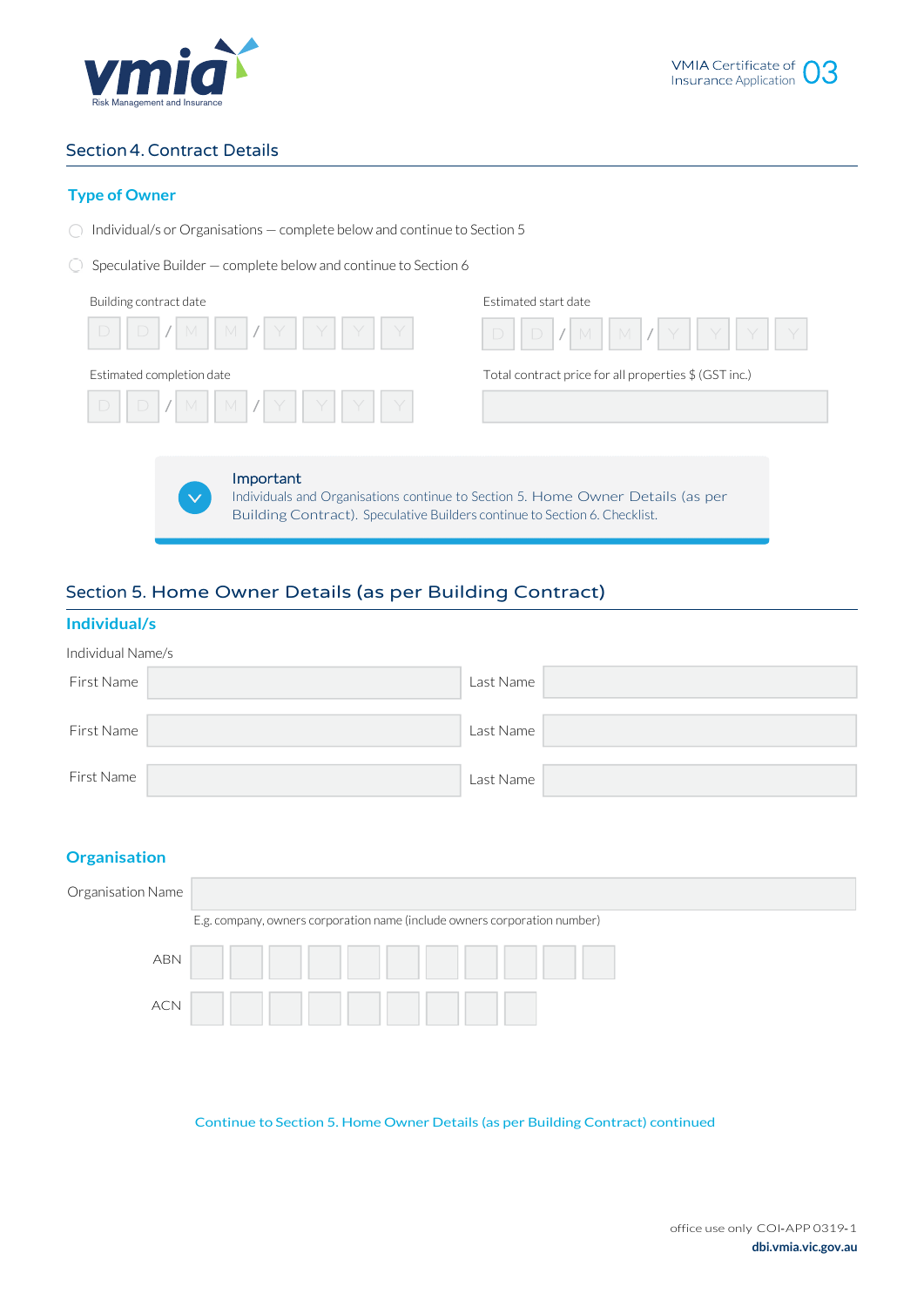

# Section4.Contract Details

# **Type of Owner**

- $\bigcirc$  Individual/s or Organisations complete below and continue to Section 5
- $\bigcirc$  Speculative Builder complete below and continue to Section 6

| Building contract date                                              | Estimated start date                                  |
|---------------------------------------------------------------------|-------------------------------------------------------|
| $D / M \parallel M / Y \parallel Y \parallel Y \parallel$<br>$\Box$ | $D    D    / M    M    / Y    Y    Y    Y$            |
| Estimated completion date                                           | Total contract price for all properties \$ (GST inc.) |
|                                                                     |                                                       |
|                                                                     |                                                       |

Important Individuals and Organisations continue to Section 5. Home Owner Details (as per Building Contract). Speculative Builders continue to Section 6. Checklist.

# Section 5. Home Owner Details (as per Building Contract)

# **Individual/s**

| Individual Name/s |           |  |
|-------------------|-----------|--|
| First Name        | Last Name |  |
|                   |           |  |
| First Name        | Last Name |  |
|                   |           |  |
| First Name        | Last Name |  |

# **Organisation**

| Organisation Name |                                                                           |
|-------------------|---------------------------------------------------------------------------|
|                   | E.g. company, owners corporation name (include owners corporation number) |
| <b>ABN</b>        |                                                                           |
| <b>ACN</b>        |                                                                           |

Continue to Section 5. Home Owner Details (as per Building Contract) continued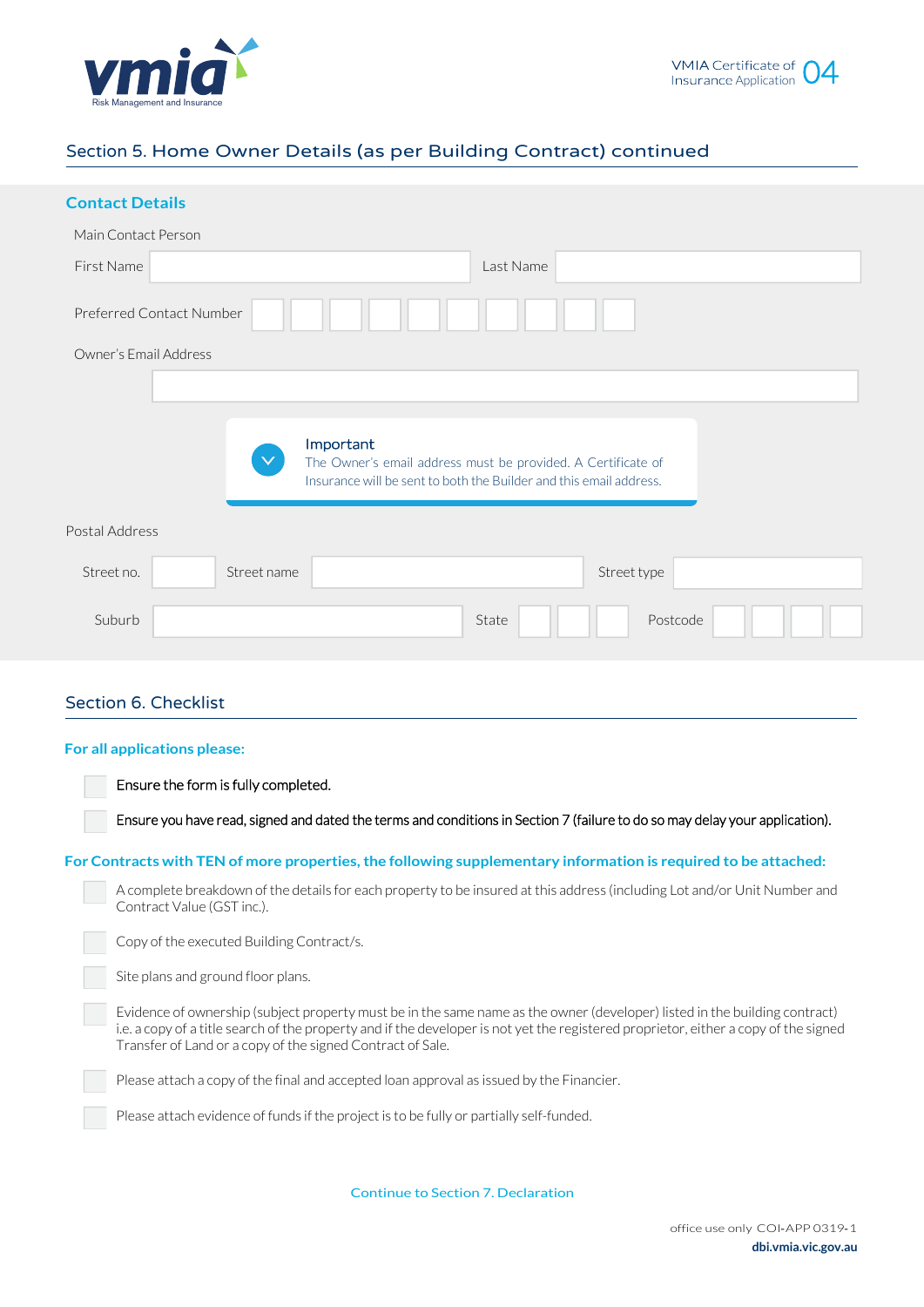



# Section 5. Home Owner Details (as per Building Contract) continued

# **Contact Details**

| Main Contact Person   |                          |                                                                                                                                    |
|-----------------------|--------------------------|------------------------------------------------------------------------------------------------------------------------------------|
| First Name            |                          | Last Name                                                                                                                          |
|                       | Preferred Contact Number |                                                                                                                                    |
| Owner's Email Address |                          |                                                                                                                                    |
|                       |                          |                                                                                                                                    |
|                       | Important                | The Owner's email address must be provided. A Certificate of<br>Insurance will be sent to both the Builder and this email address. |
| Postal Address        |                          |                                                                                                                                    |
| Street no.            | Street name              | Street type                                                                                                                        |
| Suburb                |                          | Postcode<br>State                                                                                                                  |
|                       |                          |                                                                                                                                    |

# Section 6. Checklist

#### **For all applications please:**

Ensure the form is fully completed.

Ensure you have read, signed and dated the terms and conditions in Section 7 (failure to do so may delay your application).

#### ֦ **For Contracts with TEN of more properties, the following supplementary information is required to be attached:**

A complete breakdown of the details for each property to be insured at this address (including Lot and/or Unit Number and Contract Value (GST inc.).

Copy of the executed Building Contract/s.

Site plans and ground floor plans.

Evidence of ownership (subject property must be in the same name as the owner (developer) listed in the building contract) i.e. a copy of a title search of the property and if the developer is not yet the registered proprietor, either a copy of the signed Transfer of Land or a copy of the signed Contract of Sale.

Please attach a copy of the final and accepted loan approval as issued by the Financier.

Please attach evidence of funds if the project is to be fully or partially self-funded.

Continue to Section 7. Declaration